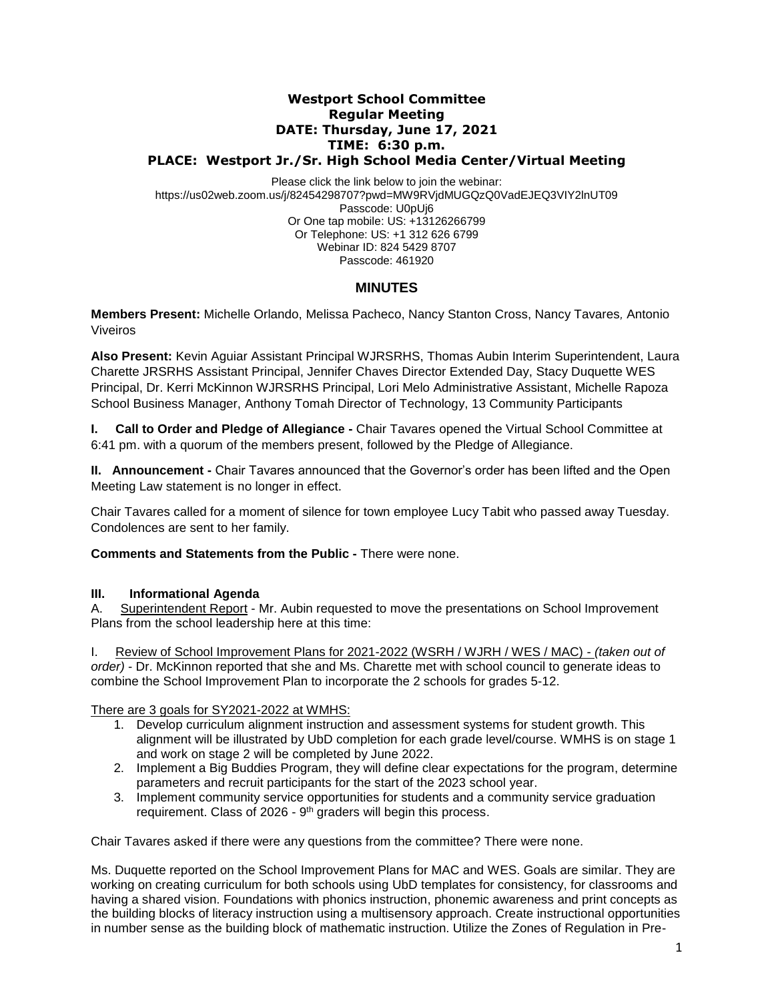### **Westport School Committee Regular Meeting DATE: Thursday, June 17, 2021 TIME: 6:30 p.m. PLACE: Westport Jr./Sr. High School Media Center/Virtual Meeting**

Please click the link below to join the webinar: https://us02web.zoom.us/j/82454298707?pwd=MW9RVjdMUGQzQ0VadEJEQ3VIY2lnUT09 Passcode: U0pUj6 Or One tap mobile: US: +13126266799 Or Telephone: US: +1 312 626 6799 Webinar ID: 824 5429 8707 Passcode: 461920

# **MINUTES**

**Members Present:** Michelle Orlando, Melissa Pacheco, Nancy Stanton Cross, Nancy Tavares*,* Antonio Viveiros

**Also Present:** Kevin Aguiar Assistant Principal WJRSRHS, Thomas Aubin Interim Superintendent, Laura Charette JRSRHS Assistant Principal, Jennifer Chaves Director Extended Day, Stacy Duquette WES Principal, Dr. Kerri McKinnon WJRSRHS Principal, Lori Melo Administrative Assistant, Michelle Rapoza School Business Manager, Anthony Tomah Director of Technology, 13 Community Participants

**I.** Call to Order and Pledge of Allegiance - Chair Tavares opened the Virtual School Committee at 6:41 pm. with a quorum of the members present, followed by the Pledge of Allegiance.

**II. Announcement -** Chair Tavares announced that the Governor's order has been lifted and the Open Meeting Law statement is no longer in effect.

Chair Tavares called for a moment of silence for town employee Lucy Tabit who passed away Tuesday. Condolences are sent to her family.

**Comments and Statements from the Public -** There were none.

### **III. Informational Agenda**

A. Superintendent Report - Mr. Aubin requested to move the presentations on School Improvement Plans from the school leadership here at this time:

I. Review of School Improvement Plans for 2021-2022 (WSRH / WJRH / WES / MAC) - *(taken out of order)* - Dr. McKinnon reported that she and Ms. Charette met with school council to generate ideas to combine the School Improvement Plan to incorporate the 2 schools for grades 5-12.

There are 3 goals for SY2021-2022 at WMHS:

- 1. Develop curriculum alignment instruction and assessment systems for student growth. This alignment will be illustrated by UbD completion for each grade level/course. WMHS is on stage 1 and work on stage 2 will be completed by June 2022.
- 2. Implement a Big Buddies Program, they will define clear expectations for the program, determine parameters and recruit participants for the start of the 2023 school year.
- 3. Implement community service opportunities for students and a community service graduation requirement. Class of 2026 - 9<sup>th</sup> graders will begin this process.

Chair Tavares asked if there were any questions from the committee? There were none.

Ms. Duquette reported on the School Improvement Plans for MAC and WES. Goals are similar. They are working on creating curriculum for both schools using UbD templates for consistency, for classrooms and having a shared vision. Foundations with phonics instruction, phonemic awareness and print concepts as the building blocks of literacy instruction using a multisensory approach. Create instructional opportunities in number sense as the building block of mathematic instruction. Utilize the Zones of Regulation in Pre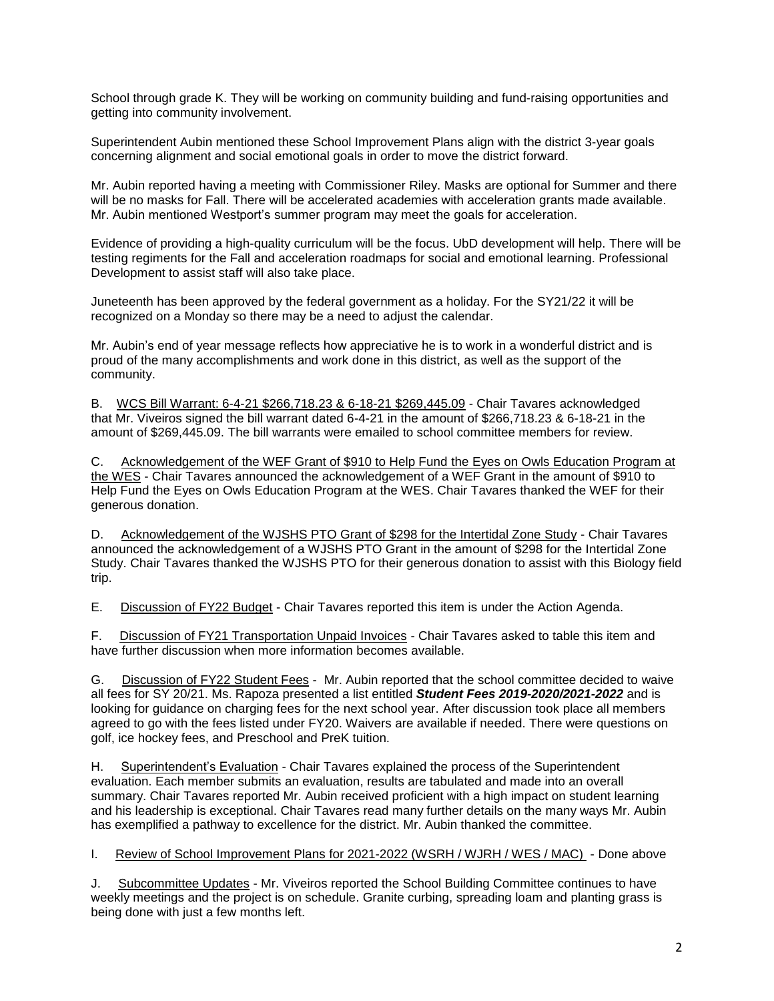School through grade K. They will be working on community building and fund-raising opportunities and getting into community involvement.

Superintendent Aubin mentioned these School Improvement Plans align with the district 3-year goals concerning alignment and social emotional goals in order to move the district forward.

Mr. Aubin reported having a meeting with Commissioner Riley. Masks are optional for Summer and there will be no masks for Fall. There will be accelerated academies with acceleration grants made available. Mr. Aubin mentioned Westport's summer program may meet the goals for acceleration.

Evidence of providing a high-quality curriculum will be the focus. UbD development will help. There will be testing regiments for the Fall and acceleration roadmaps for social and emotional learning. Professional Development to assist staff will also take place.

Juneteenth has been approved by the federal government as a holiday. For the SY21/22 it will be recognized on a Monday so there may be a need to adjust the calendar.

Mr. Aubin's end of year message reflects how appreciative he is to work in a wonderful district and is proud of the many accomplishments and work done in this district, as well as the support of the community.

B. WCS Bill Warrant: 6-4-21 \$266,718.23 & 6-18-21 \$269,445.09 - Chair Tavares acknowledged that Mr. Viveiros signed the bill warrant dated 6-4-21 in the amount of \$266,718.23 & 6-18-21 in the amount of \$269,445.09. The bill warrants were emailed to school committee members for review.

C. Acknowledgement of the WEF Grant of \$910 to Help Fund the Eyes on Owls Education Program at the WES - Chair Tavares announced the acknowledgement of a WEF Grant in the amount of \$910 to Help Fund the Eyes on Owls Education Program at the WES. Chair Tavares thanked the WEF for their generous donation.

D. Acknowledgement of the WJSHS PTO Grant of \$298 for the Intertidal Zone Study - Chair Tavares announced the acknowledgement of a WJSHS PTO Grant in the amount of \$298 for the Intertidal Zone Study. Chair Tavares thanked the WJSHS PTO for their generous donation to assist with this Biology field trip.

E. Discussion of FY22 Budget - Chair Tavares reported this item is under the Action Agenda.

F. Discussion of FY21 Transportation Unpaid Invoices - Chair Tavares asked to table this item and have further discussion when more information becomes available.

G. Discussion of FY22 Student Fees - Mr. Aubin reported that the school committee decided to waive all fees for SY 20/21. Ms. Rapoza presented a list entitled *Student Fees 2019-2020/2021-2022* and is looking for guidance on charging fees for the next school year. After discussion took place all members agreed to go with the fees listed under FY20. Waivers are available if needed. There were questions on golf, ice hockey fees, and Preschool and PreK tuition.

H. Superintendent's Evaluation - Chair Tavares explained the process of the Superintendent evaluation. Each member submits an evaluation, results are tabulated and made into an overall summary. Chair Tavares reported Mr. Aubin received proficient with a high impact on student learning and his leadership is exceptional. Chair Tavares read many further details on the many ways Mr. Aubin has exemplified a pathway to excellence for the district. Mr. Aubin thanked the committee.

I. Review of School Improvement Plans for 2021-2022 (WSRH / WJRH / WES / MAC) - Done above

J. Subcommittee Updates - Mr. Viveiros reported the School Building Committee continues to have weekly meetings and the project is on schedule. Granite curbing, spreading loam and planting grass is being done with just a few months left.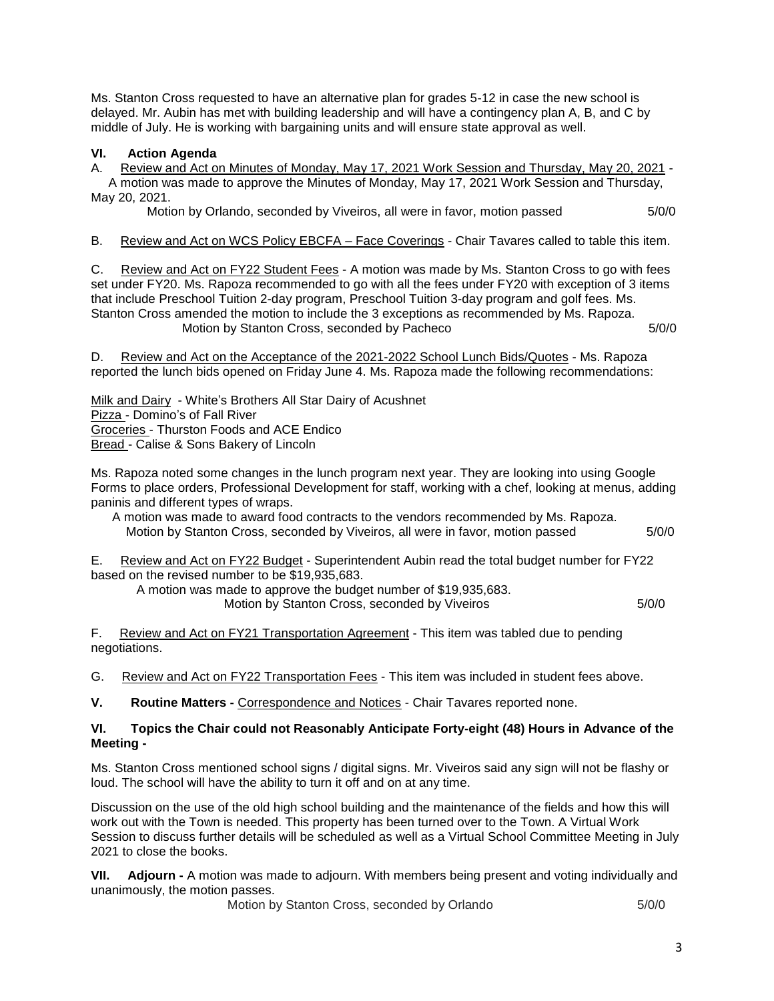Ms. Stanton Cross requested to have an alternative plan for grades 5-12 in case the new school is delayed. Mr. Aubin has met with building leadership and will have a contingency plan A, B, and C by middle of July. He is working with bargaining units and will ensure state approval as well.

## **VI. Action Agenda**

A. Review and Act on Minutes of Monday, May 17, 2021 Work Session and Thursday, May 20, 2021 -

 A motion was made to approve the Minutes of Monday, May 17, 2021 Work Session and Thursday, May 20, 2021.

Motion by Orlando, seconded by Viveiros, all were in favor, motion passed 5/0/0

B. Review and Act on WCS Policy EBCFA – Face Coverings - Chair Tavares called to table this item.

C. Review and Act on FY22 Student Fees - A motion was made by Ms. Stanton Cross to go with fees set under FY20. Ms. Rapoza recommended to go with all the fees under FY20 with exception of 3 items that include Preschool Tuition 2-day program, Preschool Tuition 3-day program and golf fees. Ms. Stanton Cross amended the motion to include the 3 exceptions as recommended by Ms. Rapoza. Motion by Stanton Cross, seconded by Pacheco 6/0/0 5/0/0 5/0/0

D. Review and Act on the Acceptance of the 2021-2022 School Lunch Bids/Quotes - Ms. Rapoza reported the lunch bids opened on Friday June 4. Ms. Rapoza made the following recommendations:

Milk and Dairy - White's Brothers All Star Dairy of Acushnet Pizza - Domino's of Fall River Groceries - Thurston Foods and ACE Endico Bread - Calise & Sons Bakery of Lincoln

Ms. Rapoza noted some changes in the lunch program next year. They are looking into using Google Forms to place orders, Professional Development for staff, working with a chef, looking at menus, adding paninis and different types of wraps.

 A motion was made to award food contracts to the vendors recommended by Ms. Rapoza. Motion by Stanton Cross, seconded by Viveiros, all were in favor, motion passed 5/0/0

E. Review and Act on FY22 Budget - Superintendent Aubin read the total budget number for FY22 based on the revised number to be \$19,935,683.

A motion was made to approve the budget number of \$19,935,683. Motion by Stanton Cross, seconded by Viveiros **6/0/0** 5/0/0

F. Review and Act on FY21 Transportation Agreement - This item was tabled due to pending negotiations.

G. Review and Act on FY22 Transportation Fees - This item was included in student fees above.

**V. Routine Matters -** Correspondence and Notices - Chair Tavares reported none.

### **VI. Topics the Chair could not Reasonably Anticipate Forty-eight (48) Hours in Advance of the Meeting -**

Ms. Stanton Cross mentioned school signs / digital signs. Mr. Viveiros said any sign will not be flashy or loud. The school will have the ability to turn it off and on at any time.

Discussion on the use of the old high school building and the maintenance of the fields and how this will work out with the Town is needed. This property has been turned over to the Town. A Virtual Work Session to discuss further details will be scheduled as well as a Virtual School Committee Meeting in July 2021 to close the books.

**VII. Adjourn -** A motion was made to adjourn. With members being present and voting individually and unanimously, the motion passes.

**Motion by Stanton Cross, seconded by Orlando 5/0/0**